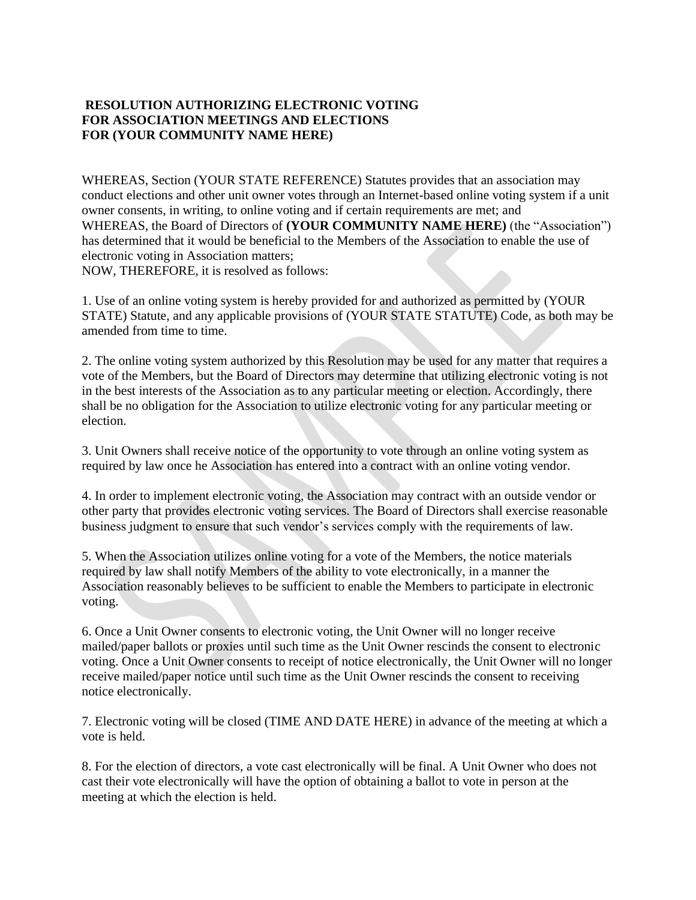## **RESOLUTION AUTHORIZING ELECTRONIC VOTING FOR ASSOCIATION MEETINGS AND ELECTIONS FOR (YOUR COMMUNITY NAME HERE)**

WHEREAS, Section (YOUR STATE REFERENCE) Statutes provides that an association may conduct elections and other unit owner votes through an Internet-based online voting system if a unit owner consents, in writing, to online voting and if certain requirements are met; and WHEREAS, the Board of Directors of **(YOUR COMMUNITY NAME HERE)** (the "Association") has determined that it would be beneficial to the Members of the Association to enable the use of electronic voting in Association matters; NOW, THEREFORE, it is resolved as follows:

1. Use of an online voting system is hereby provided for and authorized as permitted by (YOUR STATE) Statute, and any applicable provisions of (YOUR STATE STATUTE) Code, as both may be amended from time to time.

2. The online voting system authorized by this Resolution may be used for any matter that requires a vote of the Members, but the Board of Directors may determine that utilizing electronic voting is not in the best interests of the Association as to any particular meeting or election. Accordingly, there shall be no obligation for the Association to utilize electronic voting for any particular meeting or election.

3. Unit Owners shall receive notice of the opportunity to vote through an online voting system as required by law once he Association has entered into a contract with an online voting vendor.

4. In order to implement electronic voting, the Association may contract with an outside vendor or other party that provides electronic voting services. The Board of Directors shall exercise reasonable business judgment to ensure that such vendor's services comply with the requirements of law.

5. When the Association utilizes online voting for a vote of the Members, the notice materials required by law shall notify Members of the ability to vote electronically, in a manner the Association reasonably believes to be sufficient to enable the Members to participate in electronic voting.

6. Once a Unit Owner consents to electronic voting, the Unit Owner will no longer receive mailed/paper ballots or proxies until such time as the Unit Owner rescinds the consent to electronic voting. Once a Unit Owner consents to receipt of notice electronically, the Unit Owner will no longer receive mailed/paper notice until such time as the Unit Owner rescinds the consent to receiving notice electronically.

7. Electronic voting will be closed (TIME AND DATE HERE) in advance of the meeting at which a vote is held.

8. For the election of directors, a vote cast electronically will be final. A Unit Owner who does not cast their vote electronically will have the option of obtaining a ballot to vote in person at the meeting at which the election is held.